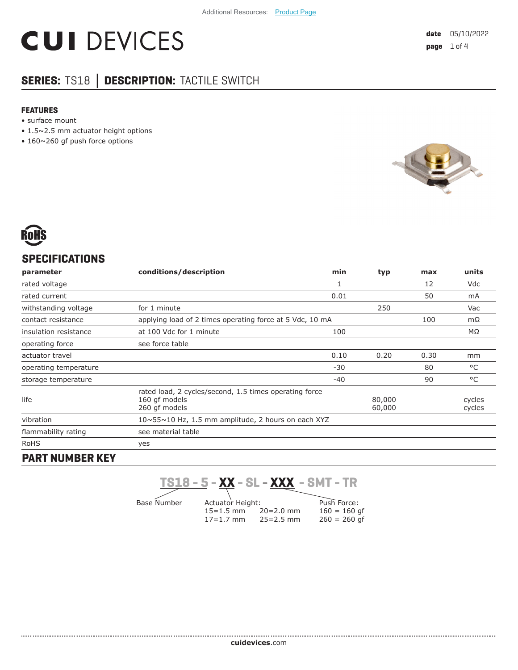# **CUI DEVICES**

# **SERIES:** TS18 **│ DESCRIPTION:** TACTILE SWITCH

#### **FEATURES**

- surface mount
- 1.5~2.5 mm actuator height options
- 160~260 gf push force options





## **SPECIFICATIONS**

| parameter                 | conditions/description                                                                   | min   | typ              | max  | units            |
|---------------------------|------------------------------------------------------------------------------------------|-------|------------------|------|------------------|
| rated voltage             |                                                                                          |       |                  | 12   | Vdc              |
| rated current             |                                                                                          | 0.01  |                  | 50   | mA               |
| withstanding voltage      | for 1 minute                                                                             |       | 250              |      | Vac              |
| contact resistance        | applying load of 2 times operating force at 5 Vdc, 10 mA                                 |       | mΩ               |      |                  |
| insulation resistance     | at 100 Vdc for 1 minute                                                                  | 100   |                  |      | MΩ               |
| operating force           | see force table                                                                          |       |                  |      |                  |
| actuator travel           |                                                                                          | 0.10  | 0.20             | 0.30 | mm               |
| operating temperature     |                                                                                          | $-30$ |                  | 80   | °C               |
| storage temperature       |                                                                                          | $-40$ |                  | 90   | °C               |
| life                      | rated load, 2 cycles/second, 1.5 times operating force<br>160 qf models<br>260 qf models |       | 80,000<br>60,000 |      | cycles<br>cycles |
| vibration                 | $10 \sim 55 \sim 10$ Hz, 1.5 mm amplitude, 2 hours on each XYZ                           |       |                  |      |                  |
| flammability rating       | see material table                                                                       |       |                  |      |                  |
| <b>RoHS</b>               | yes                                                                                      |       |                  |      |                  |
| ------------- <i>-</i> -- |                                                                                          |       |                  |      |                  |

#### **PART NUMBER KEY**

**TS18 - 5 - XX - SL - XXX - SMT - TR**

Base Number

Actuator Height:  $15=1.5$  mm  $20=2.0$  mm<br> $17=1.7$  mm  $25=2.5$  mm  $17=1.7$  mm

Push Force:  $160 = 160$  gf  $260 = 260$  gf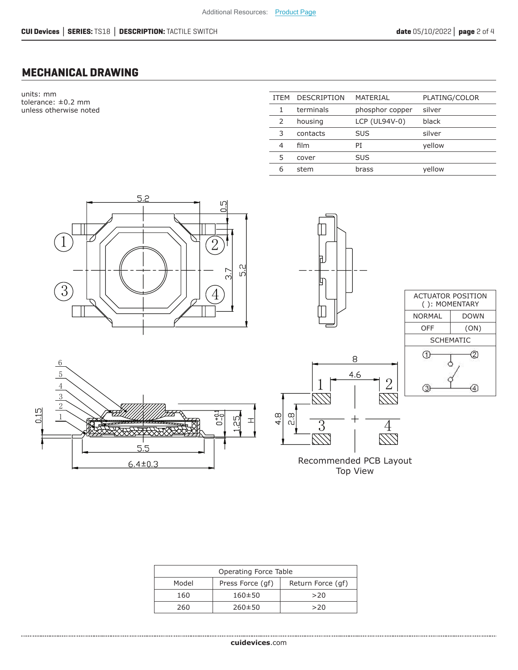### **MECHANICAL DRAWING**

units: mm tolerance: ±0.2 mm unless otherwise noted

| <b>ITEM</b> | <b>DESCRIPTION</b> | MATERIAL        | PLATING/COLOR |
|-------------|--------------------|-----------------|---------------|
|             | terminals          | phosphor copper | silver        |
| 2           | housing            | LCP (UL94V-0)   | black         |
| 3           | contacts           | <b>SUS</b>      | silver        |
| 4           | film               | PT              | yellow        |
| 5           | cover              | <b>SUS</b>      |               |
| 6           | stem               | brass           | yellow        |











Recommended PCB Layout Top View

| Operating Force Table |                  |                   |  |  |
|-----------------------|------------------|-------------------|--|--|
| Model                 | Press Force (qf) | Return Force (qf) |  |  |
| 160                   | $160 + 50$       | >20               |  |  |
| 260                   | $260 \pm 50$     | >20               |  |  |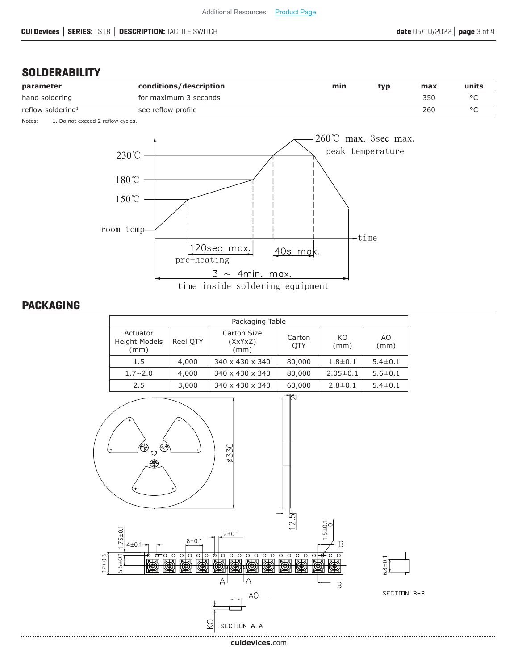### **SOLDERABILITY**

| parameter                     | conditions/description | min | tvp | max | units |
|-------------------------------|------------------------|-----|-----|-----|-------|
| hand soldering                | for maximum 3 seconds  |     |     | 350 |       |
| reflow soldering <sup>1</sup> | see reflow profile     |     |     | 260 |       |

Notes: 1. Do not exceed 2 reflow cycles.



#### **PACKAGING**

| Packaging Table                   |          |                                |                      |                |               |
|-----------------------------------|----------|--------------------------------|----------------------|----------------|---------------|
| Actuator<br>Height Models<br>(mm) | Reel OTY | Carton Size<br>(XxYxZ)<br>(mm) | Carton<br><b>OTY</b> | KO<br>(mm)     | AO.<br>(mm)   |
| 1.5                               | 4,000    | 340 x 430 x 340                | 80,000               | $1.8 \pm 0.1$  | $5.4 \pm 0.1$ |
| $1.7 \sim 2.0$                    | 4,000    | 340 x 430 x 340                | 80,000               | $2.05 \pm 0.1$ | $5.6 \pm 0.1$ |
| 2.5                               | 3,000    | 340 x 430 x 340                | 60,000               | $2.8 \pm 0.1$  | $5.4 \pm 0.1$ |



**cui[devices](https://www.cuidevices.com/track?actionLabel=Datasheet-ClickThrough-HomePage&label=TS18.pdf&path=/)**.com